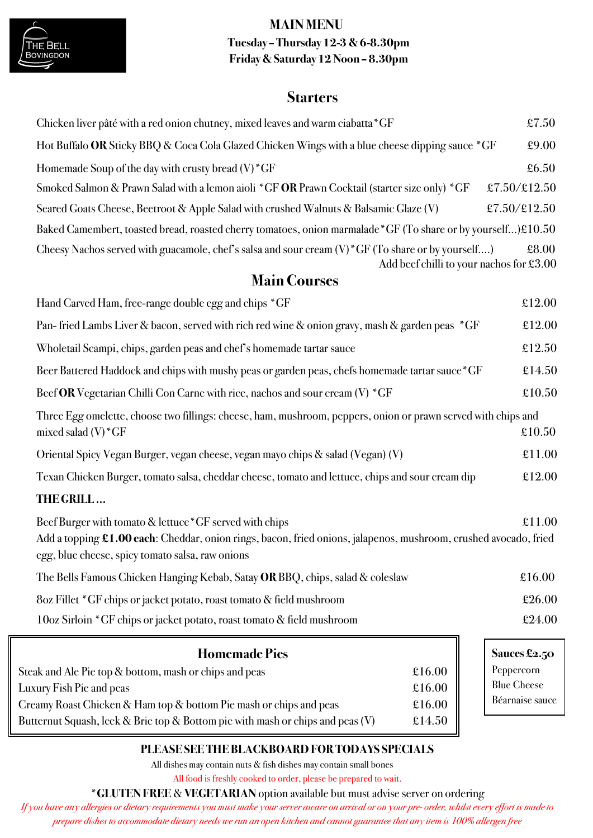



# **Tuesday – Thursday 12-3 & 6-8.30pm Friday & Saturday 12 Noon – 8.30pm**

# **Starters**

| Chicken liver pâté with a red onion chutney, mixed leaves and warm ciabatta * GF                                                                                                                                                 |        | £7.50                                             |
|----------------------------------------------------------------------------------------------------------------------------------------------------------------------------------------------------------------------------------|--------|---------------------------------------------------|
| Hot Buffalo OR Sticky BBQ & Coca Cola Glazed Chicken Wings with a blue cheese dipping sauce *GF                                                                                                                                  |        | £9.00                                             |
| Homemade Soup of the day with crusty bread $(V)^*GF$                                                                                                                                                                             |        | £6.50                                             |
| Smoked Salmon & Prawn Salad with a lemon aioli *GF OR Prawn Cocktail (starter size only) *GF                                                                                                                                     |        | £7.50/£12.50                                      |
| Seared Goats Cheese, Beetroot & Apple Salad with crushed Walnuts & Balsamic Glaze (V)                                                                                                                                            |        | £7.50/£12.50                                      |
| Baked Camembert, toasted bread, roasted cherry tomatoes, onion marmalade *GF (To share or by yourself)£10.50                                                                                                                     |        |                                                   |
| Cheesy Nachos served with guacamole, chef's salsa and sour cream $(V)^*GF$ (To share or by yourself)                                                                                                                             |        | £8.00<br>Add beef chilli to your nachos for £3.00 |
| <b>Main Courses</b>                                                                                                                                                                                                              |        |                                                   |
| Hand Carved Ham, free-range double egg and chips *GF                                                                                                                                                                             |        | £12.00                                            |
| Pan-fried Lambs Liver & bacon, served with rich red wine & onion gravy, mash & garden peas *GF                                                                                                                                   |        | £12.00                                            |
| Wholetail Scampi, chips, garden peas and chef's homemade tartar sauce                                                                                                                                                            |        | £12.50                                            |
| Beer Battered Haddock and chips with mushy peas or garden peas, chefs homemade tartar sauce *GF                                                                                                                                  |        | £14.50                                            |
| Beef OR Vegetarian Chilli Con Carne with rice, nachos and sour cream $(V)$ *GF                                                                                                                                                   |        | £10.50                                            |
| Three Egg omelette, choose two fillings: cheese, ham, mushroom, peppers, onion or prawn served with chips and<br>mixed salad $(V)^*GF$                                                                                           |        | £10.50                                            |
| Oriental Spicy Vegan Burger, vegan cheese, vegan mayo chips & salad (Vegan) (V)                                                                                                                                                  |        | £11.00                                            |
| Texan Chicken Burger, tomato salsa, cheddar cheese, tomato and lettuce, chips and sour cream dip                                                                                                                                 |        | £12.00                                            |
| THE GRILL                                                                                                                                                                                                                        |        |                                                   |
| Beef Burger with tomato & lettuce * GF served with chips<br>Add a topping £1.00 each: Cheddar, onion rings, bacon, fried onions, jalapenos, mushroom, crushed avocado, fried<br>egg, blue cheese, spicy tomato salsa, raw onions |        | £11.00                                            |
| The Bells Famous Chicken Hanging Kebab, Satay OR BBQ, chips, salad & coleslaw                                                                                                                                                    |        | £16.00                                            |
| 8oz Fillet *GF chips or jacket potato, roast tomato & field mushroom                                                                                                                                                             |        | £26.00                                            |
| 10oz Sirloin *GF chips or jacket potato, roast tomato & field mushroom                                                                                                                                                           |        | £24.00                                            |
| <b>Homemade Pies</b>                                                                                                                                                                                                             |        | Sauces £2.50                                      |
| Steak and Ale Pie top & bottom, mash or chips and peas                                                                                                                                                                           | £16.00 | Peppercorn                                        |
| Luxury Fish Pie and peas                                                                                                                                                                                                         | £16.00 | <b>Blue Cheese</b><br>Béarnaise sauce             |
| Creamy Roast Chicken & Ham top & bottom Pie mash or chips and peas                                                                                                                                                               | £16.00 |                                                   |

# **PLEASE SEE THE BLACKBOARD FOR TODAYS SPECIALS**

All dishes may contain nuts & fish dishes may contain small bones

Butternut Squash, leek & Brie top & Bottom pie with mash or chips and peas  $(V)$  £14.50

All food is freshly cooked to order, please be prepared to wait.

\***GLUTEN FREE** & **VEGETARIAN** option available but must advise server on ordering

*If you have any allergies or dietary requirements you must make your server aware on arrival or on your pre- order, whilst every effort is made to prepare dishes to accommodate dietary needs we run an open kitchen and cannot guarantee that any item is 100% allergen free*